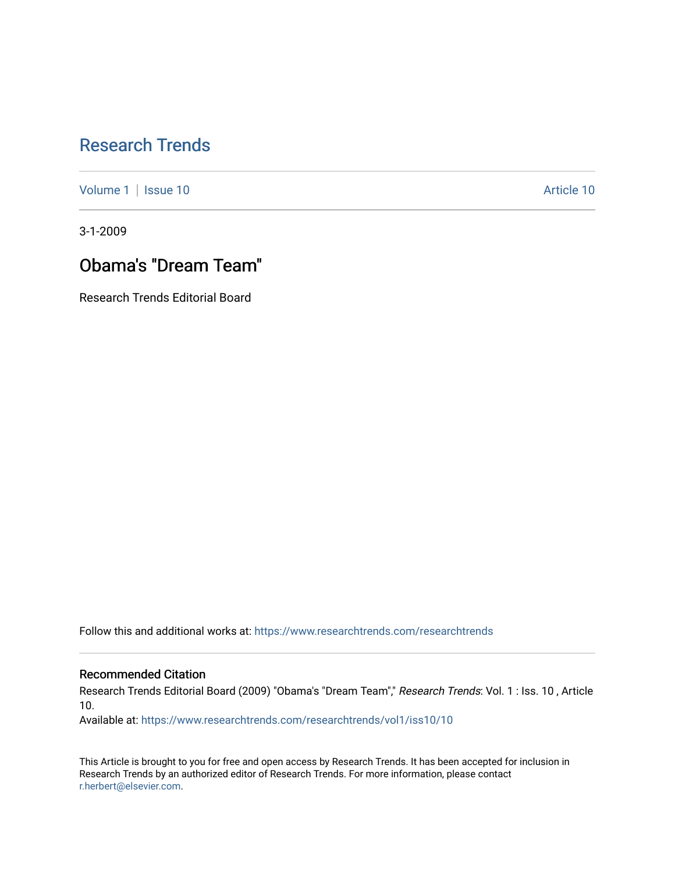## [Research Trends](https://www.researchtrends.com/researchtrends)

[Volume 1](https://www.researchtrends.com/researchtrends/vol1) | [Issue 10](https://www.researchtrends.com/researchtrends/vol1/iss10) Article 10

3-1-2009

## Obama's "Dream Team"

Research Trends Editorial Board

Follow this and additional works at: [https://www.researchtrends.com/researchtrends](https://www.researchtrends.com/researchtrends?utm_source=www.researchtrends.com%2Fresearchtrends%2Fvol1%2Fiss10%2F10&utm_medium=PDF&utm_campaign=PDFCoverPages) 

#### Recommended Citation

Research Trends Editorial Board (2009) "Obama's "Dream Team"," Research Trends: Vol. 1 : Iss. 10 , Article 10.

Available at: [https://www.researchtrends.com/researchtrends/vol1/iss10/10](https://www.researchtrends.com/researchtrends/vol1/iss10/10?utm_source=www.researchtrends.com%2Fresearchtrends%2Fvol1%2Fiss10%2F10&utm_medium=PDF&utm_campaign=PDFCoverPages) 

This Article is brought to you for free and open access by Research Trends. It has been accepted for inclusion in Research Trends by an authorized editor of Research Trends. For more information, please contact [r.herbert@elsevier.com.](mailto:r.herbert@elsevier.com)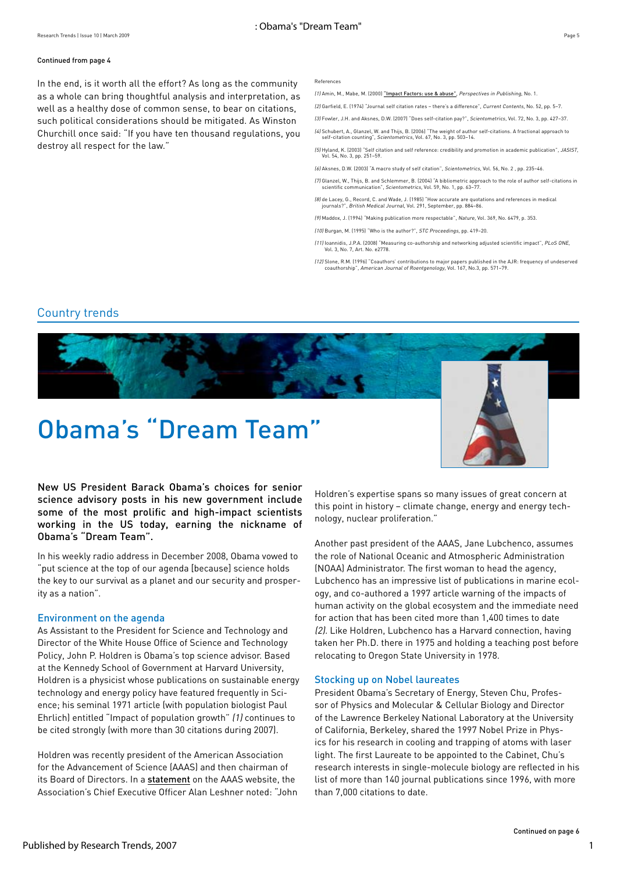#### Continued from page 4

In the end, is it worth all the effort? As long as the community as a whole can bring thoughtful analysis and interpretation, as well as a healthy dose of common sense, to bear on citations, such political considerations should be mitigated. As Winston Churchill once said: "If you have ten thousand regulations, you destroy all respect for the law."

#### References

(1) Amin, M., Mabe, M. (2000) ["Impact Factors: use & abuse"](http://www.elsevier.com/framework_editors/pdfs/Perspectives1.pdf), Perspectives in Publishing, No. 1.

(2) Garfield, E. (1974) "Journal self citation rates – there's a difference", Current Contents, No. 52, pp. 5–7.

(3) Fowler, J.H. and Aksnes, D.W. (2007) "Does self-citation pay?", Scientometrics, Vol. 72, No. 3, pp. 427–37. (4) Schubert, A., Glanzel, W. and Thijs, B. (2006) "The weight of author self-citations. A fractional approach to self-citation counting", Scientometrics, Vol. 67, No. 3, pp. 503–14.

(5) Hyland, K. (2003) "Self citation and self reference: credibility and promotion in academic publication", JASIST, Vol. 54, No. 3, pp. 251–59.

(6) Aksnes, D.W. (2003) "A macro study of self citation", Scientometrics, Vol. 56, No. 2 , pp. 235–46.

(7) Glanzel, W., Thijs, B. and Schlemmer, B. (2004) "A bibliometric approach to the role of author self-citations in scientific communication", Scientometrics, Vol. 59, No. 1, pp. 63–77.

(8) de Lacey, G., Record, C. and Wade, J. (1985) "How accurate are quotations and references in medical journals?", British Medical Journal, Vol. 291, September, pp. 884–86.

(9) Maddox, J. (1994) "Making publication more respectable", Nature, Vol. 369, No. 6479, p. 353.

(10) Burgan, M. (1995) "Who is the author?", STC Proceedings, pp. 419–20.

(11) Ioannidis, J.P.A. (2008) "Measuring co-authorship and networking adjusted scientific impact", PLoS ONE, Vol. 3, No. 7, Art. No. e2778.

(12) Slone, R.M. (1996) "Coauthors' contributions to major papers published in the AJR: frequency of undeserved coauthorship", American Journal of Roentgenology, Vol. 167, No.3, pp. 571–79.

### Country trends



# Obama's "Dream Team"



New US President Barack Obama's choices for senior science advisory posts in his new government include some of the most prolific and high-impact scientists working in the US today, earning the nickname of Obama's "Dream Team".

In his weekly radio address in December 2008, Obama vowed to "put science at the top of our agenda [because] science holds the key to our survival as a planet and our security and prosperity as a nation".

#### Environment on the agenda

As Assistant to the President for Science and Technology and Director of the White House Office of Science and Technology Policy, John P. Holdren is Obama's top science advisor. Based at the Kennedy School of Government at Harvard University, Holdren is a physicist whose publications on sustainable energy technology and energy policy have featured frequently in Science; his seminal 1971 article (with population biologist Paul Ehrlich) entitled "Impact of population growth" (1) continues to be cited strongly (with more than 30 citations during 2007).

Holdren was recently president of the American Association for the Advancement of Science (AAAS) and then chairman of its Board of Directors. In a [statement](http://www.aaas.org/news/releases/2008/1218holdren.shtml) on the AAAS website, the Association's Chief Executive Officer Alan Leshner noted: "John Holdren's expertise spans so many issues of great concern at this point in history – climate change, energy and energy technology, nuclear proliferation."

Another past president of the AAAS, Jane Lubchenco, assumes the role of National Oceanic and Atmospheric Administration (NOAA) Administrator. The first woman to head the agency, Lubchenco has an impressive list of publications in marine ecology, and co-authored a 1997 article warning of the impacts of human activity on the global ecosystem and the immediate need for action that has been cited more than 1,400 times to date (2). Like Holdren, Lubchenco has a Harvard connection, having taken her Ph.D. there in 1975 and holding a teaching post before relocating to Oregon State University in 1978.

#### Stocking up on Nobel laureates

President Obama's Secretary of Energy, Steven Chu, Professor of Physics and Molecular & Cellular Biology and Director of the Lawrence Berkeley National Laboratory at the University of California, Berkeley, shared the 1997 Nobel Prize in Physics for his research in cooling and trapping of atoms with laser light. The first Laureate to be appointed to the Cabinet, Chu's research interests in single-molecule biology are reflected in his list of more than 140 journal publications since 1996, with more than 7,000 citations to date.